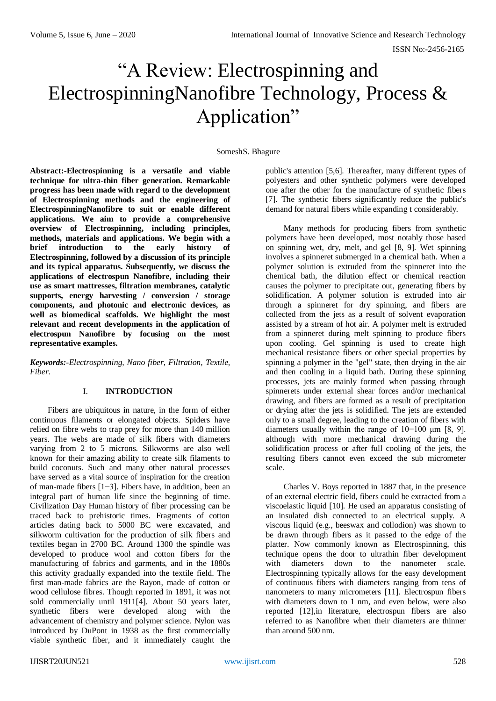# "A Review: Electrospinning and ElectrospinningNanofibre Technology, Process & Application"

#### SomeshS. Bhagure

**Abstract:-Electrospinning is a versatile and viable technique for ultra-thin fiber generation. Remarkable progress has been made with regard to the development of Electrospinning methods and the engineering of ElectrospinningNanofibre to suit or enable different applications. We aim to provide a comprehensive overview of Electrospinning, including principles, methods, materials and applications. We begin with a brief introduction to the early history of Electrospinning, followed by a discussion of its principle and its typical apparatus. Subsequently, we discuss the applications of electrospun Nanofibre, including their use as smart mattresses, filtration membranes, catalytic supports, energy harvesting / conversion / storage components, and photonic and electronic devices, as well as biomedical scaffolds. We highlight the most relevant and recent developments in the application of electrospun Nanofibre by focusing on the most representative examples.**

*Keywords:-Electrospinning, Nano fiber, Filtration, Textile, Fiber.*

## I. **INTRODUCTION**

Fibers are ubiquitous in nature, in the form of either continuous filaments or elongated objects. Spiders have relied on fibre webs to trap prey for more than 140 million years. The webs are made of silk fibers with diameters varying from 2 to 5 microns. Silkworms are also well known for their amazing ability to create silk filaments to build coconuts. Such and many other natural processes have served as a vital source of inspiration for the creation of man-made fibers [1−3]. Fibers have, in addition, been an integral part of human life since the beginning of time. Civilization Day Human history of fiber processing can be traced back to prehistoric times. Fragments of cotton articles dating back to 5000 BC were excavated, and silkworm cultivation for the production of silk fibers and textiles began in 2700 BC. Around 1300 the spindle was developed to produce wool and cotton fibers for the manufacturing of fabrics and garments, and in the 1880s this activity gradually expanded into the textile field. The first man-made fabrics are the Rayon, made of cotton or wood cellulose fibres. Though reported in 1891, it was not sold commercially until 1911[4]. About 50 years later, synthetic fibers were developed along with the advancement of chemistry and polymer science. Nylon was introduced by DuPont in 1938 as the first commercially viable synthetic fiber, and it immediately caught the

public's attention [5,6]. Thereafter, many different types of polyesters and other synthetic polymers were developed one after the other for the manufacture of synthetic fibers [7]. The synthetic fibers significantly reduce the public's demand for natural fibers while expanding t considerably.

Many methods for producing fibers from synthetic polymers have been developed, most notably those based on spinning wet, dry, melt, and gel [8, 9]. Wet spinning involves a spinneret submerged in a chemical bath. When a polymer solution is extruded from the spinneret into the chemical bath, the dilution effect or chemical reaction causes the polymer to precipitate out, generating fibers by solidification. A polymer solution is extruded into air through a spinneret for dry spinning, and fibers are collected from the jets as a result of solvent evaporation assisted by a stream of hot air. A polymer melt is extruded from a spinneret during melt spinning to produce fibers upon cooling. Gel spinning is used to create high mechanical resistance fibers or other special properties by spinning a polymer in the "gel" state, then drying in the air and then cooling in a liquid bath. During these spinning processes, jets are mainly formed when passing through spinnerets under external shear forces and/or mechanical drawing, and fibers are formed as a result of precipitation or drying after the jets is solidified. The jets are extended only to a small degree, leading to the creation of fibers with diameters usually within the range of 10−100 μm [8, 9]. although with more mechanical drawing during the solidification process or after full cooling of the jets, the resulting fibers cannot even exceed the sub micrometer scale.

Charles V. Boys reported in 1887 that, in the presence of an external electric field, fibers could be extracted from a viscoelastic liquid [10]. He used an apparatus consisting of an insulated dish connected to an electrical supply. A viscous liquid (e.g., beeswax and collodion) was shown to be drawn through fibers as it passed to the edge of the platter. Now commonly known as Electrospinning, this technique opens the door to ultrathin fiber development with diameters down to the nanometer scale. Electrospinning typically allows for the easy development of continuous fibers with diameters ranging from tens of nanometers to many micrometers [11]. Electrospun fibers with diameters down to 1 nm, and even below, were also reported [12],in literature, electrospun fibers are also referred to as Nanofibre when their diameters are thinner than around 500 nm.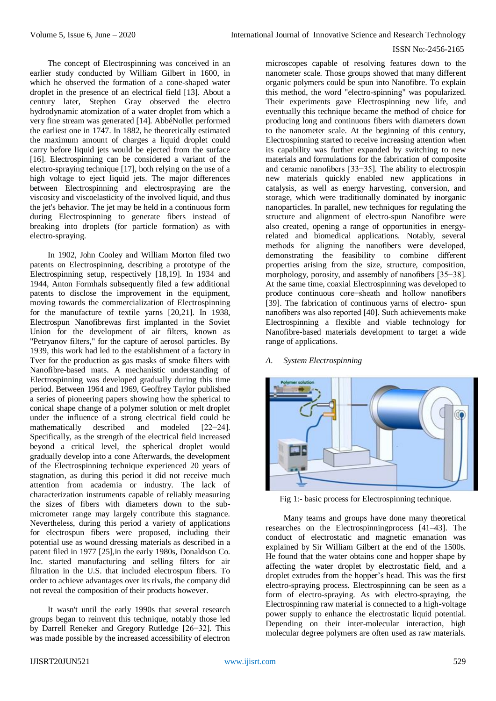The concept of Electrospinning was conceived in an earlier study conducted by William Gilbert in 1600, in which he observed the formation of a cone-shaped water droplet in the presence of an electrical field [13]. About a century later, Stephen Gray observed the electro hydrodynamic atomization of a water droplet from which a very fine stream was generated [14]. AbbéNollet performed the earliest one in 1747. In 1882, he theoretically estimated the maximum amount of charges a liquid droplet could carry before liquid jets would be ejected from the surface [16]. Electrospinning can be considered a variant of the electro-spraying technique [17], both relying on the use of a high voltage to eject liquid jets. The major differences between Electrospinning and electrospraying are the viscosity and viscoelasticity of the involved liquid, and thus the jet's behavior. The jet may be held in a continuous form during Electrospinning to generate fibers instead of breaking into droplets (for particle formation) as with electro-spraying.

In 1902, John Cooley and William Morton filed two patents on Electrospinning, describing a prototype of the Electrospinning setup, respectively [18,19]. In 1934 and 1944, Anton Formhals subsequently filed a few additional patents to disclose the improvement in the equipment, moving towards the commercialization of Electrospinning for the manufacture of textile yarns [20,21]. In 1938, Electrospun Nanofibrewas first implanted in the Soviet Union for the development of air filters, known as "Petryanov filters," for the capture of aerosol particles. By 1939, this work had led to the establishment of a factory in Tver for the production as gas masks of smoke filters with Nanofibre-based mats. A mechanistic understanding of Electrospinning was developed gradually during this time period. Between 1964 and 1969, Geoffrey Taylor published a series of pioneering papers showing how the spherical to conical shape change of a polymer solution or melt droplet under the influence of a strong electrical field could be mathematically described and modeled [22−24]. Specifically, as the strength of the electrical field increased beyond a critical level, the spherical droplet would gradually develop into a cone Afterwards, the development of the Electrospinning technique experienced 20 years of stagnation, as during this period it did not receive much attention from academia or industry. The lack of characterization instruments capable of reliably measuring the sizes of fibers with diameters down to the submicrometer range may largely contribute this stagnance. Nevertheless, during this period a variety of applications for electrospun fibers were proposed, including their potential use as wound dressing materials as described in a patent filed in 1977 [25],in the early 1980s, Donaldson Co. Inc. started manufacturing and selling filters for air filtration in the U.S. that included electrospun fibers. To order to achieve advantages over its rivals, the company did not reveal the composition of their products however.

It wasn't until the early 1990s that several research groups began to reinvent this technique, notably those led by Darrell Reneker and Gregory Rutledge [26−32]. This was made possible by the increased accessibility of electron

microscopes capable of resolving features down to the nanometer scale. Those groups showed that many different organic polymers could be spun into Nanofibre. To explain this method, the word "electro-spinning" was popularized. Their experiments gave Electrospinning new life, and eventually this technique became the method of choice for producing long and continuous fibers with diameters down to the nanometer scale. At the beginning of this century, Electrospinning started to receive increasing attention when its capability was further expanded by switching to new materials and formulations for the fabrication of composite and ceramic nanofibers [33−35]. The ability to electrospin new materials quickly enabled new applications in catalysis, as well as energy harvesting, conversion, and storage, which were traditionally dominated by inorganic nanoparticles. In parallel, new techniques for regulating the structure and alignment of electro-spun Nanofibre were also created, opening a range of opportunities in energyrelated and biomedical applications. Notably, several methods for aligning the nanofibers were developed, demonstrating the feasibility to combine different properties arising from the size, structure, composition, morphology, porosity, and assembly of nanofibers [35–38]. At the same time, coaxial Electrospinning was developed to produce continuous core−sheath and hollow nanofibers [39]. The fabrication of continuous yarns of electro- spun nanofibers was also reported [40]. Such achievements make Electrospinning a flexible and viable technology for Nanofibre-based materials development to target a wide range of applications.

## *A. System Electrospinning*



Fig 1:- basic process for Electrospinning technique.

Many teams and groups have done many theoretical researches on the Electrospinningprocess [41–43]. The conduct of electrostatic and magnetic emanation was explained by Sir William Gilbert at the end of the 1500s. He found that the water obtains cone and hopper shape by affecting the water droplet by electrostatic field, and a droplet extrudes from the hopper's head. This was the first electro-spraying process. Electrospinning can be seen as a form of electro-spraying. As with electro-spraying, the Electrospinning raw material is connected to a high-voltage power supply to enhance the electrostatic liquid potential. Depending on their inter-molecular interaction, high molecular degree polymers are often used as raw materials.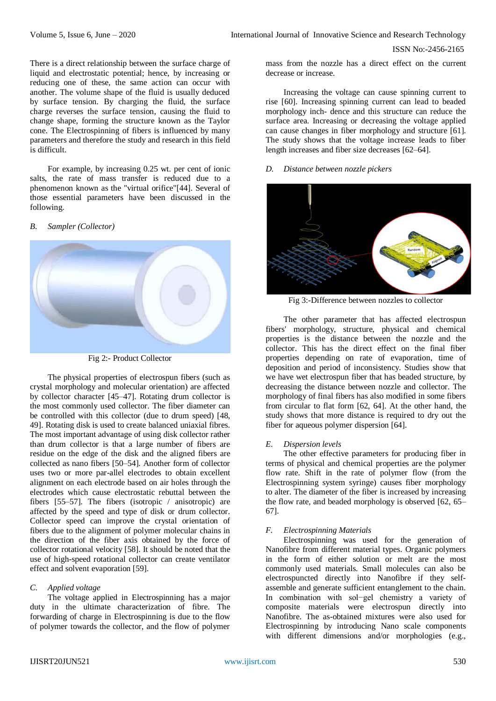There is a direct relationship between the surface charge of liquid and electrostatic potential; hence, by increasing or reducing one of these, the same action can occur with another. The volume shape of the fluid is usually deduced by surface tension. By charging the fluid, the surface charge reverses the surface tension, causing the fluid to change shape, forming the structure known as the Taylor cone. The Electrospinning of fibers is influenced by many parameters and therefore the study and research in this field is difficult.

For example, by increasing 0.25 wt. per cent of ionic salts, the rate of mass transfer is reduced due to a phenomenon known as the "virtual orifice"[44]. Several of those essential parameters have been discussed in the following.

#### *B. Sampler (Collector)*





The physical properties of electrospun fibers (such as crystal morphology and molecular orientation) are affected by collector character [45–47]. Rotating drum collector is the most commonly used collector. The fiber diameter can be controlled with this collector (due to drum speed) [48, 49]. Rotating disk is used to create balanced uniaxial fibres. The most important advantage of using disk collector rather than drum collector is that a large number of fibers are residue on the edge of the disk and the aligned fibers are collected as nano fibers [50–54]. Another form of collector uses two or more par-allel electrodes to obtain excellent alignment on each electrode based on air holes through the electrodes which cause electrostatic rebuttal between the fibers [55–57]. The fibers (isotropic / anisotropic) are affected by the speed and type of disk or drum collector. Collector speed can improve the crystal orientation of fibers due to the alignment of polymer molecular chains in the direction of the fiber axis obtained by the force of collector rotational velocity [58]. It should be noted that the use of high-speed rotational collector can create ventilator effect and solvent evaporation [59].

## *C. Applied voltage*

The voltage applied in Electrospinning has a major duty in the ultimate characterization of fibre. The forwarding of charge in Electrospinning is due to the flow of polymer towards the collector, and the flow of polymer

mass from the nozzle has a direct effect on the current decrease or increase.

Increasing the voltage can cause spinning current to rise [60]. Increasing spinning current can lead to beaded morphology inch- dence and this structure can reduce the surface area. Increasing or decreasing the voltage applied can cause changes in fiber morphology and structure [61]. The study shows that the voltage increase leads to fiber length increases and fiber size decreases [62–64].

#### *D. Distance between nozzle pickers*



Fig 3:-Difference between nozzles to collector

The other parameter that has affected electrospun fibers' morphology, structure, physical and chemical properties is the distance between the nozzle and the collector. This has the direct effect on the final fiber properties depending on rate of evaporation, time of deposition and period of inconsistency. Studies show that we have wet electrospun fiber that has beaded structure, by decreasing the distance between nozzle and collector. The morphology of final fibers has also modified in some fibers from circular to flat form [62, 64]. At the other hand, the study shows that more distance is required to dry out the fiber for aqueous polymer dispersion [64].

#### *E. Dispersion levels*

The other effective parameters for producing fiber in terms of physical and chemical properties are the polymer flow rate. Shift in the rate of polymer flow (from the Electrospinning system syringe) causes fiber morphology to alter. The diameter of the fiber is increased by increasing the flow rate, and beaded morphology is observed [62, 65– 67].

#### *F. Electrospinning Materials*

Electrospinning was used for the generation of Nanofibre from different material types. Organic polymers in the form of either solution or melt are the most commonly used materials. Small molecules can also be electrospuncted directly into Nanofibre if they selfassemble and generate sufficient entanglement to the chain. In combination with sol−gel chemistry a variety of composite materials were electrospun directly into Nanofibre. The as-obtained mixtures were also used for Electrospinning by introducing Nano scale components with different dimensions and/or morphologies (e.g.,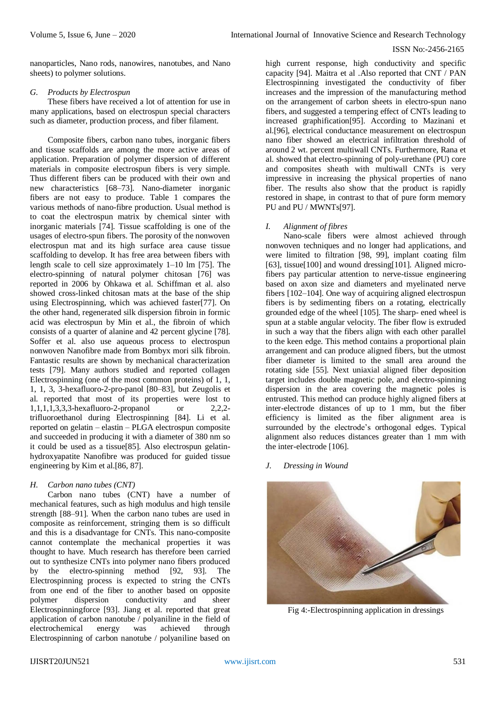nanoparticles, Nano rods, nanowires, nanotubes, and Nano sheets) to polymer solutions.

## *G. Products by Electrospun*

These fibers have received a lot of attention for use in many applications, based on electrospun special characters such as diameter, production process, and fiber filament.

Composite fibers, carbon nano tubes, inorganic fibers and tissue scaffolds are among the more active areas of application. Preparation of polymer dispersion of different materials in composite electrospun fibers is very simple. Thus different fibers can be produced with their own and new characteristics [68–73]. Nano-diameter inorganic fibers are not easy to produce. Table 1 compares the various methods of nano-fibre production. Usual method is to coat the electrospun matrix by chemical sinter with inorganic materials [74]. Tissue scaffolding is one of the usages of electro-spun fibers. The porosity of the nonwoven electrospun mat and its high surface area cause tissue scaffolding to develop. It has free area between fibers with length scale to cell size approximately 1–10 lm [75]. The electro-spinning of natural polymer chitosan [76] was reported in 2006 by Ohkawa et al. Schiffman et al. also showed cross-linked chitosan mats at the base of the ship using Electrospinning, which was achieved faster[77]. On the other hand, regenerated silk dispersion fibroin in formic acid was electrospun by Min et al., the fibroin of which consists of a quarter of alanine and 42 percent glycine [78]. Soffer et al. also use aqueous process to electrospun nonwoven Nanofibre made from Bombyx mori silk fibroin. Fantastic results are shown by mechanical characterization tests [79]. Many authors studied and reported collagen Electrospinning (one of the most common proteins) of 1, 1, 1, 1, 3, 3-hexafluoro-2-pro-panol [80–83], but Zeugolis et al. reported that most of its properties were lost to 1,1,1,1,3,3,3-hexafluoro-2-propanol or 2,2,2 trifluoroethanol during Electrospinning [84]. Li et al. reported on gelatin – elastin – PLGA electrospun composite and succeeded in producing it with a diameter of 380 nm so it could be used as a tissue[85]. Also electrospun gelatinhydroxyapatite Nanofibre was produced for guided tissue engineering by Kim et al.[86, 87].

## *H. Carbon nano tubes (CNT)*

Carbon nano tubes (CNT) have a number of mechanical features, such as high modulus and high tensile strength [88–91]. When the carbon nano tubes are used in composite as reinforcement, stringing them is so difficult and this is a disadvantage for CNTs. This nano-composite cannot contemplate the mechanical properties it was thought to have. Much research has therefore been carried out to synthesize CNTs into polymer nano fibers produced by the electro-spinning method [92, 93]. The Electrospinning process is expected to string the CNTs from one end of the fiber to another based on opposite polymer dispersion conductivity and sheer Electrospinningforce [93]. Jiang et al. reported that great application of carbon nanotube / polyaniline in the field of electrochemical energy was achieved through Electrospinning of carbon nanotube / polyaniline based on

high current response, high conductivity and specific capacity [94]. Maitra et al .Also reported that CNT / PAN Electrospinning investigated the conductivity of fiber increases and the impression of the manufacturing method on the arrangement of carbon sheets in electro-spun nano fibers, and suggested a tempering effect of CNTs leading to increased graphification[95]. According to Mazinani et al.[96], electrical conductance measurement on electrospun nano fiber showed an electrical infiltration threshold of around 2 wt. percent multiwall CNTs. Furthermore, Rana et al. showed that electro-spinning of poly-urethane (PU) core and composites sheath with multiwall CNTs is very impressive in increasing the physical properties of nano fiber. The results also show that the product is rapidly restored in shape, in contrast to that of pure form memory PU and PU / MWNTs[97].

## *I. Alignment of fibres*

Nano-scale fibers were almost achieved through nonwoven techniques and no longer had applications, and were limited to filtration [98, 99], implant coating film [63], tissue[100] and wound dressing[101]. Aligned microfibers pay particular attention to nerve-tissue engineering based on axon size and diameters and myelinated nerve fibers [102–104]. One way of acquiring aligned electrospun fibers is by sedimenting fibers on a rotating, electrically grounded edge of the wheel [105]. The sharp- ened wheel is spun at a stable angular velocity. The fiber flow is extruded in such a way that the fibers align with each other parallel to the keen edge. This method contains a proportional plain arrangement and can produce aligned fibers, but the utmost fiber diameter is limited to the small area around the rotating side [55]. Next uniaxial aligned fiber deposition target includes double magnetic pole, and electro-spinning dispersion in the area covering the magnetic poles is entrusted. This method can produce highly aligned fibers at inter-electrode distances of up to 1 mm, but the fiber efficiency is limited as the fiber alignment area is surrounded by the electrode's orthogonal edges. Typical alignment also reduces distances greater than 1 mm with the inter-electrode [106].

## *J. Dressing in Wound*



Fig 4:-Electrospinning application in dressings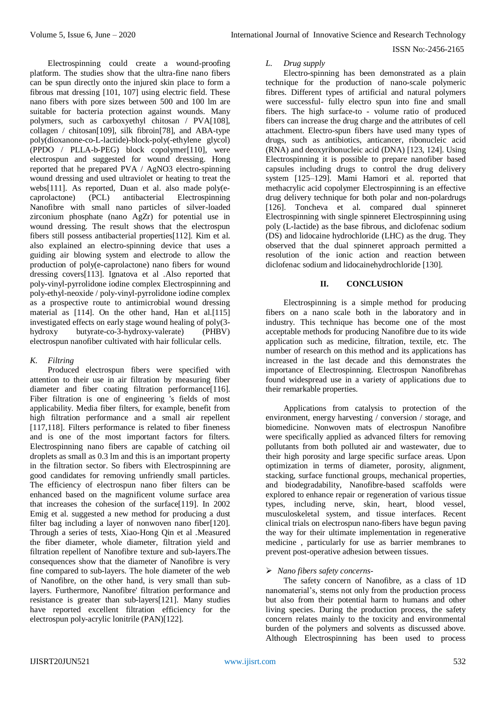Electrospinning could create a wound-proofing platform. The studies show that the ultra-fine nano fibers can be spun directly onto the injured skin place to form a fibrous mat dressing [101, 107] using electric field. These nano fibers with pore sizes between 500 and 100 lm are suitable for bacteria protection against wounds. Many polymers, such as carboxyethyl chitosan / PVA[108], collagen / chitosan[109], silk fibroin[78], and ABA-type poly(dioxanone-co-L-lactide)-block-poly(-ethylene glycol) (PPDO / PLLA-b-PEG) block copolymer[110], were electrospun and suggested for wound dressing. Hong reported that he prepared PVA / AgNO3 electro-spinning wound dressing and used ultraviolet or heating to treat the webs[111]. As reported, Duan et al. also made poly(e-<br>caprolactone) (PCL) antibacterial Electrospinning antibacterial Electrospinning Nanofibre with small nano particles of silver-loaded zirconium phosphate (nano AgZr) for potential use in wound dressing. The result shows that the electrospun fibers still possess antibacterial properties[112]. Kim et al. also explained an electro-spinning device that uses a guiding air blowing system and electrode to allow the production of poly(e-caprolactone) nano fibers for wound dressing covers[113]. Ignatova et al .Also reported that poly-vinyl-pyrrolidone iodine complex Electrospinning and poly-ethyl-neoxide / poly-vinyl-pyrrolidone iodine complex as a prospective route to antimicrobial wound dressing material as [114]. On the other hand, Han et al.[115] investigated effects on early stage wound healing of poly(3 hydroxy butyrate-co-3-hydroxy-valerate) (PHBV) electrospun nanofiber cultivated with hair follicular cells.

# *K. Filtring*

Produced electrospun fibers were specified with attention to their use in air filtration by measuring fiber diameter and fiber coating filtration performance<sup>[116]</sup>. Fiber filtration is one of engineering 's fields of most applicability. Media fiber filters, for example, benefit from high filtration performance and a small air repellent [117,118]. Filters performance is related to fiber fineness and is one of the most important factors for filters. Electrospinning nano fibers are capable of catching oil droplets as small as 0.3 lm and this is an important property in the filtration sector. So fibers with Electrospinning are good candidates for removing unfriendly small particles. The efficiency of electrospun nano fiber filters can be enhanced based on the magnificent volume surface area that increases the cohesion of the surface[119]. In 2002 Emig et al. suggested a new method for producing a dust filter bag including a layer of nonwoven nano fiber[120]. Through a series of tests, Xiao-Hong Qin et al .Measured the fiber diameter, whole diameter, filtration yield and filtration repellent of Nanofibre texture and sub-layers.The consequences show that the diameter of Nanofibre is very fine compared to sub-layers. The hole diameter of the web of Nanofibre, on the other hand, is very small than sublayers. Furthermore, Nanofibre' filtration performance and resistance is greater than sub-layers[121]. Many studies have reported excellent filtration efficiency for the electrospun poly-acrylic lonitrile (PAN)[122].

## *L. Drug supply*

Electro-spinning has been demonstrated as a plain technique for the production of nano-scale polymeric fibres. Different types of artificial and natural polymers were successful- fully electro spun into fine and small fibers. The high surface-to - volume ratio of produced fibers can increase the drug charge and the attributes of cell attachment. Electro-spun fibers have used many types of drugs, such as antibiotics, anticancer, ribonucleic acid (RNA) and deoxyribonucleic acid (DNA) [123, 124]. Using Electrospinning it is possible to prepare nanofiber based capsules including drugs to control the drug delivery system [125–129]. Mami Hamori et al. reported that methacrylic acid copolymer Electrospinning is an effective drug delivery technique for both polar and non-polardrugs [126]. Toncheva et al. compared dual spinneret Electrospinning with single spinneret Electrospinning using poly (L-lactide) as the base fibrous, and diclofenac sodium (DS) and lidocaine hydrochloride (LHC) as the drug. They observed that the dual spinneret approach permitted a resolution of the ionic action and reaction between diclofenac sodium and lidocainehydrochloride [130].

# **II. CONCLUSION**

Electrospinning is a simple method for producing fibers on a nano scale both in the laboratory and in industry. This technique has become one of the most acceptable methods for producing Nanofibre due to its wide application such as medicine, filtration, textile, etc. The number of research on this method and its applications has increased in the last decade and this demonstrates the importance of Electrospinning. Electrospun Nanofibrehas found widespread use in a variety of applications due to their remarkable properties.

Applications from catalysis to protection of the environment, energy harvesting / conversion / storage, and biomedicine. Nonwoven mats of electrospun Nanofibre were specifically applied as advanced filters for removing pollutants from both polluted air and wastewater, due to their high porosity and large specific surface areas. Upon optimization in terms of diameter, porosity, alignment, stacking, surface functional groups, mechanical properties, and biodegradability, Nanofibre-based scaffolds were explored to enhance repair or regeneration of various tissue types, including nerve, skin, heart, blood vessel, musculoskeletal system, and tissue interfaces. Recent clinical trials on electrospun nano-fibers have begun paving the way for their ultimate implementation in regenerative medicine , particularly for use as barrier membranes to prevent post-operative adhesion between tissues.

## *Nano fibers safety concerns-*

The safety concern of Nanofibre, as a class of 1D nanomaterial's, stems not only from the production process but also from their potential harm to humans and other living species. During the production process, the safety concern relates mainly to the toxicity and environmental burden of the polymers and solvents as discussed above. Although Electrospinning has been used to process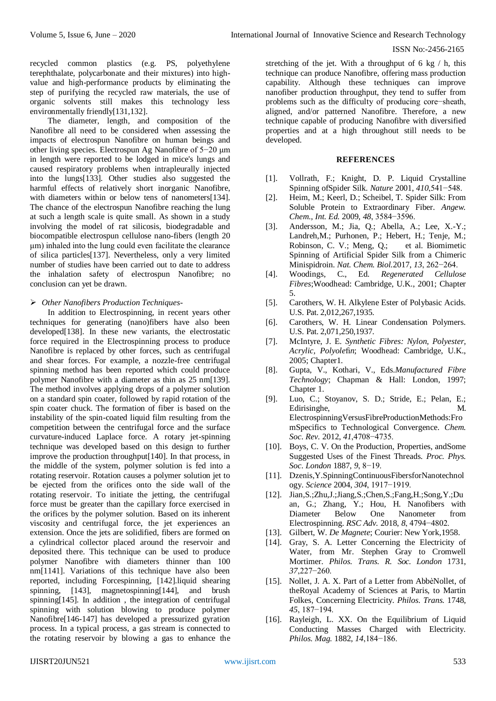recycled common plastics (e.g. PS, polyethylene terephthalate, polycarbonate and their mixtures) into highvalue and high-performance products by eliminating the step of purifying the recycled raw materials, the use of organic solvents still makes this technology less environmentally friendly[131,132].

The diameter, length, and composition of the Nanofibre all need to be considered when assessing the impacts of electrospun Nanofibre on human beings and other living species. Electrospun Ag Nanofibre of 5−20 μm in length were reported to be lodged in mice's lungs and caused respiratory problems when intrapleurally injected into the lungs[133]. Other studies also suggested the harmful effects of relatively short inorganic Nanofibre, with diameters within or below tens of nanometers[134]. The chance of the electrospun Nanofibre reaching the lung at such a length scale is quite small. As shown in a study involving the model of rat silicosis, biodegradable and biocompatible electrospun cellulose nano-fibers (length 20 μm) inhaled into the lung could even facilitate the clearance of silica particles[137]. Nevertheless, only a very limited number of studies have been carried out to date to address the inhalation safety of electrospun Nanofibre; no conclusion can yet be drawn.

#### *Other Nanofibers Production Techniques-*

In addition to Electrospinning, in recent years other techniques for generating (nano)fibers have also been developed[138]. In these new variants, the electrostatic force required in the Electrospinning process to produce Nanofibre is replaced by other forces, such as centrifugal and shear forces. For example, a nozzle-free centrifugal spinning method has been reported which could produce polymer Nanofibre with a diameter as thin as 25 nm[139]. The method involves applying drops of a polymer solution on a standard spin coater, followed by rapid rotation of the spin coater chuck. The formation of fiber is based on the instability of the spin-coated liquid film resulting from the competition between the centrifugal force and the surface curvature-induced Laplace force. A rotary jet-spinning technique was developed based on this design to further improve the production throughput[140]. In that process, in the middle of the system, polymer solution is fed into a rotating reservoir. Rotation causes a polymer solution jet to be ejected from the orifices onto the side wall of the rotating reservoir. To initiate the jetting, the centrifugal force must be greater than the capillary force exercised in the orifices by the polymer solution. Based on its inherent viscosity and centrifugal force, the jet experiences an extension. Once the jets are solidified, fibers are formed on a cylindrical collector placed around the reservoir and deposited there. This technique can be used to produce polymer Nanofibre with diameters thinner than 100 nm[1141]. Variations of this technique have also been reported, including Forcespinning, [142].liquid shearing spinning, [143], magnetospinning[144], and brush spinning[145]. In addition, the integration of centrifugal spinning with solution blowing to produce polymer Nanofibre[146-147] has developed a pressurized gyration process. In a typical process, a gas stream is connected to the rotating reservoir by blowing a gas to enhance the

stretching of the jet. With a throughput of 6 kg  $/$  h, this technique can produce Nanofibre, offering mass production capability. Although these techniques can improve nanofiber production throughput, they tend to suffer from problems such as the difficulty of producing core−sheath, aligned, and/or patterned Nanofibre. Therefore, a new technique capable of producing Nanofibre with diversified properties and at a high throughout still needs to be developed.

## **REFERENCES**

- [1]. Vollrath, F.; Knight, D. P. Liquid Crystalline Spinning ofSpider Silk. *Nature* 2001, *410*,541−548.
- [2]. Heim, M.; Keerl, D.; Scheibel, T. Spider Silk: From Soluble Protein to Extraordinary Fiber. *Angew. Chem., Int. Ed.* 2009, *48*, 3584−3596.
- [3]. Andersson, M.; Jia, Q.; Abella, A.; Lee, X.-Y.; Landreh,M.; Purhonen, P.; Hebert, H.; Tenje, M.; Robinson, C. V.; Meng, Q.; et al. Biomimetic Spinning of Artificial Spider Silk from a Chimeric Minispidroin. *Nat. Chem. Biol.*2017, *13*, 262−264.
- [4]. Woodings, C., Ed. *Regenerated Cellulose Fibres*;Woodhead: Cambridge, U.K., 2001; Chapter 5.
- [5]. Carothers, W. H. Alkylene Ester of Polybasic Acids. U.S. Pat. 2,012,267,1935.
- [6]. Carothers, W. H. Linear Condensation Polymers. U.S. Pat. 2,071,250,1937.
- [7]. McIntyre, J. E. *Synthetic Fibres: Nylon, Polyester, Acrylic, Polyole*fi*n*; Woodhead: Cambridge, U.K., 2005; Chapter1.
- [8]. Gupta, V., Kothari, V., Eds.*Manufactured Fibre Technology*; Chapman & Hall: London, 1997; Chapter 1.
- [9]. Luo, C.; Stoyanov, S. D.; Stride, E.; Pelan, E.; Edirisinghe, M. ElectrospinningVersusFibreProductionMethods:Fro mSpecifics to Technological Convergence. *Chem. Soc. Rev.* 2012, *41*,4708−4735.
- [10]. Boys, C. V. On the Production, Properties, andSome Suggested Uses of the Finest Threads. *Proc. Phys. Soc. London* 1887, *9*, 8−19.
- [11]. Dzenis,Y.SpinningContinuousFibersforNanotechnol ogy. *Science* 2004, *304*, 1917−1919.
- [12]. Jian,S.;Zhu,J.;Jiang,S.;Chen,S.;Fang,H.;Song,Y.;Du an, G.; Zhang, Y.; Hou, H. Nanofibers with Diameter Below One Nanometer from Electrospinning. *RSC Adv.* 2018, *8*, 4794−4802.
- [13]. Gilbert, W. *De Magnete*; Courier: New York,1958.
- [14]. Gray, S. A. Letter Concerning the Electricity of Water, from Mr. Stephen Gray to Cromwell Mortimer. *Philos. Trans. R. Soc. London* 1731, *37*,227−260.
- [15]. Nollet, J. A. X. Part of a Letter from AbbèNollet, of theRoyal Academy of Sciences at Paris, to Martin Folkes, Concerning Electricity. *Philos. Trans.* 1748, *45*, 187−194.
- [16]. Rayleigh, L. XX. On the Equilibrium of Liquid Conducting Masses Charged with Electricity. *Philos. Mag.* 1882, *14*,184−186.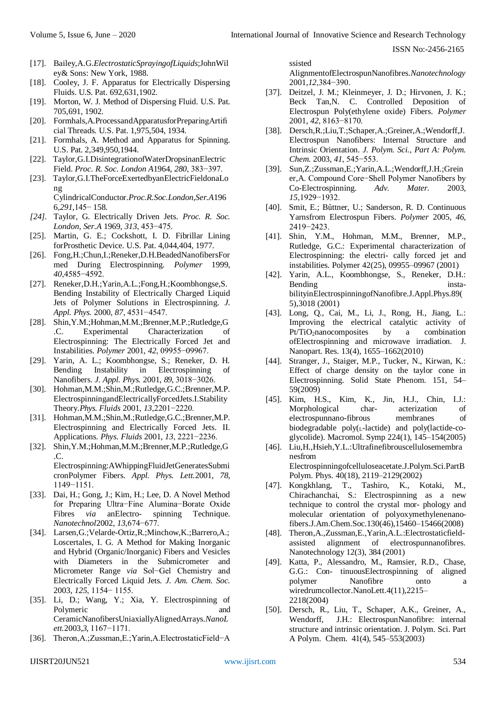- [17]. Bailey,A.G.*ElectrostaticSprayingofLiquids*;JohnWil ey& Sons: New York, 1988.
- [18]. Cooley, J. F. Apparatus for Electrically Dispersing Fluids. U.S. Pat. 692,631,1902.
- [19]. Morton, W. J. Method of Dispersing Fluid. U.S. Pat. 705,691, 1902.
- [20]. Formhals,A.ProcessandApparatusforPreparingArtifi cial Threads. U.S. Pat. 1,975,504, 1934.
- [21]. Formhals, A. Method and Apparatus for Spinning. U.S. Pat. 2,349,950,1944.
- [22]. Taylor,G.I.DisintegrationofWaterDropsinanElectric Field. *Proc. R. Soc. London A*1964, *280*, 383−397.
- [23]. Taylor,G.I.TheForceExertedbyanElectricFieldonaLo ng CylindricalConductor.*Proc.R.Soc.London,Ser.A*196

6,*291*,145− 158.

- *[24].* Taylor, G. Electrically Driven Jets. *Proc. R. Soc. London, Ser.A* 1969, *313*, 453−475.
- [25]. Martin, G. E.; Cockshott, I. D. Fibrillar Lining forProsthetic Device. U.S. Pat. 4,044,404, 1977.
- [26]. Fong,H.;Chun,I.;Reneker,D.H.BeadedNanofibersFor med During Electrospinning. *Polymer* 1999, *40*,4585−4592.
- [27]. Reneker,D.H.;Yarin,A.L.;Fong,H.;Koombhongse,S. Bending Instability of Electrically Charged Liquid Jets of Polymer Solutions in Electrospinning. *J. Appl. Phys.* 2000, *87*, 4531−4547.
- [28]. Shin,Y.M.;Hohman,M.M.;Brenner,M.P.;Rutledge,G .C. Experimental Characterization of Electrospinning: The Electrically Forced Jet and Instabilities. *Polymer* 2001, *42*, 09955−09967.
- [29]. Yarin, A. L.; Koombhongse, S.; Reneker, D. H. Bending Instability in Electrospinning of Nanofibers. *J. Appl. Phys.* 2001, *89*, 3018−3026.
- [30]. Hohman,M.M.;Shin,M.;Rutledge,G.C.;Brenner,M.P. ElectrospinningandElectricallyForcedJets.I.Stability Theory.*Phys. Fluids* 2001, *13*,2201−2220.
- [31]. Hohman,M.M.;Shin,M.;Rutledge,G.C.;Brenner,M.P. Electrospinning and Electrically Forced Jets. II. Applications. *Phys. Fluids* 2001, *13*, 2221−2236.
- [32]. Shin,Y.M.;Hohman,M.M.;Brenner,M.P.;Rutledge,G .C. Electrospinning:AWhippingFluidJetGeneratesSubmi

cronPolymer Fibers. *Appl. Phys. Lett.*2001, *78*, 1149−1151.

- [33]. Dai, H.; Gong, J.; Kim, H.; Lee, D. A Novel Method for Preparing Ultra−Fine Alumina−Borate Oxide Fibres *via* anElectro- spinning Technique. *Nanotechnol*2002, *13*,674−677.
- [34]. Larsen,G.;Velarde-Ortiz,R.;Minchow,K.;Barrero,A.; Loscertales, I. G. A Method for Making Inorganic and Hybrid (Organic/Inorganic) Fibers and Vesicles with Diameters in the Submicrometer and Micrometer Range *via* Sol−Gel Chemistry and Electrically Forced Liquid Jets. *J. Am. Chem. Soc.*  2003, *125*, 1154− 1155.
- [35]. Li, D.; Wang, Y.; Xia, Y. Electrospinning of Polymeric and CeramicNanofibersUniaxiallyAlignedArrays.*NanoL ett.*2003,*3*, 1167−1171.
- [36]. Theron,A.;Zussman,E.;Yarin,A.ElectrostaticField−A

ssisted AlignmentofElectrospunNanofibres.*Nanotechnology* 2001,*12*,384−390.

- [37]. Deitzel, J. M.; Kleinmeyer, J. D.; Hirvonen, J. K.; Beck Tan,N. C. Controlled Deposition of Electrospun Poly(ethylene oxide) Fibers. *Polymer*  2001, *42*, 8163−8170.
- [38]. Dersch,R.;Liu,T.;Schaper,A.;Greiner,A.;Wendorff,J. Electrospun Nanofibers: Internal Structure and Intrinsic Orientation. *J. Polym. Sci., Part A: Polym. Chem.* 2003, *41*, 545−553.
- [39]. Sun,Z.;Zussman,E.;Yarin,A.L.;Wendorff,J.H.;Grein er,A. Compound Core−Shell Polymer Nanofibers by Co-Electrospinning. *Adv. Mater.* 2003, *15*,1929−1932.
- [40]. Smit, E.; Bűttner, U.; Sanderson, R. D. Continuous Yarnsfrom Electrospun Fibers. *Polymer* 2005, *46*, 2419−2423.
- [41]. Shin, Y.M., Hohman, M.M., Brenner, M.P., Rutledge, G.C.: Experimental characterization of Electrospinning: the electri- cally forced jet and instabilities. Polymer 42(25), 09955–09967 (2001)
- [42]. Yarin, A.L., Koombhongse, S., Reneker, D.H.: Bending installation in the set of the set of the set of the set of the set of the set of the set of the set of the set of the set of the set of the set of the set of the set of the set of the set of the set of the set of bilityinElectrospinningofNanofibre.J.Appl.Phys.89( 5),3018 (2001)
- [43]. Long, Q., Cai, M., Li, J., Rong, H., Jiang, L.: Improving the electrical catalytic activity of Pt/TiO2nanocomposites by a combination ofElectrospinning and microwave irradiation. J. Nanopart. Res. 13(4), 1655–1662(2010)
- [44]. Stranger, J., Staiger, M.P., Tucker, N., Kirwan, K.: Effect of charge density on the taylor cone in Electrospinning. Solid State Phenom. 151, 54– 59(2009)
- [45]. Kim, H.S., Kim, K., Jin, H.J., Chin, I.J.: Morphological char- acterization of electrospunnano-fibrous membranes of biodegradable  $poly(I_{\text{-}}\text{-}\text{-}\text{lactic})$  and  $poly(\text{-}\text{-}\text{-}\text{-}\text{-}\text{-}\text{-}\text{-}\text{-}\text{-}$ glycolide). Macromol. Symp 224(1), 145–154(2005)
- [46]. Liu,H.,Hsieh,Y.L.:Ultrafinefibrouscellulosemembra nesfrom Electrospinningofcelluloseacetate.J.Polym.Sci.PartB Polym. Phys. 40(18), 2119–2129(2002)
- [47]. Kongkhlang, T., Tashiro, K., Kotaki, M., Chirachanchai, S.: Electrospinning as a new technique to control the crystal mor- phology and molecular orientation of polyoxymethylenenanofibers.J.Am.Chem.Soc.130(46),15460–15466(2008)
- [48]. Theron,A.,Zussman,E.,Yarin,A.L.:Electrostaticfieldassisted alignment of electrospunnanofibres. Nanotechnology 12(3), 384 (2001)
- [49]. Katta, P., Alessandro, M., Ramsier, R.D., Chase, G.G.: Con- tinuousElectrospinning of aligned polymer Nanofibre onto a wiredrumcollector.NanoLett.4(11),2215– 2218(2004)
- [50]. Dersch, R., Liu, T., Schaper, A.K., Greiner, A., Wendorff, J.H.: ElectrospunNanofibre: internal structure and intrinsic orientation. J. Polym. Sci. Part A Polym. Chem. 41(4), 545–553(2003)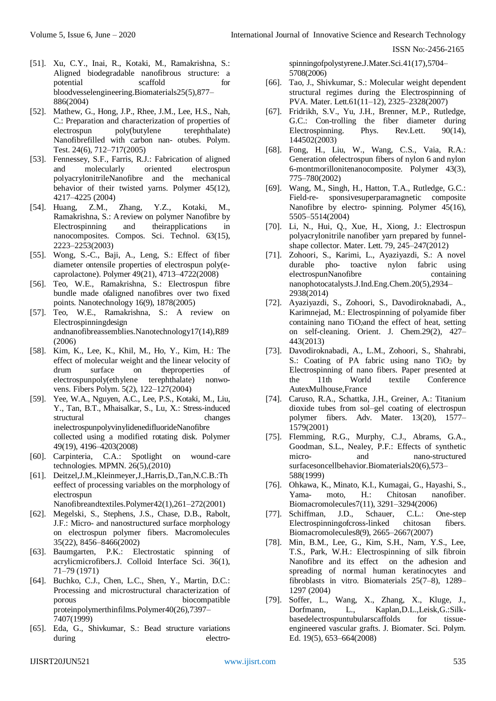- [51]. Xu, C.Y., Inai, R., Kotaki, M., Ramakrishna, S.: Aligned biodegradable nanofibrous structure: a potential scaffold for bloodvesselengineering.Biomaterials25(5),877– 886(2004)
- [52]. Mathew, G., Hong, J.P., Rhee, J.M., Lee, H.S., Nah, C.: Preparation and characterization of properties of electrospun poly(butylene terephthalate) Nanofibrefilled with carbon nan- otubes. Polym. Test. 24(6), 712–717(2005)
- [53]. Fennessey, S.F., Farris, R.J.: Fabrication of aligned and molecularly oriented electrospun polyacrylonitrileNanofibre and the mechanical behavior of their twisted yarns. Polymer 45(12), 4217–4225 (2004)
- [54]. Huang, Z.M., Zhang, Y.Z., Kotaki, M., Ramakrishna, S.: A review on polymer Nanofibre by Electrospinning and theirapplications in nanocomposites. Compos. Sci. Technol. 63(15), 2223–2253(2003)
- [55]. Wong, S.-C., Baji, A., Leng, S.: Effect of fiber diameter ontensile properties of electrospun poly(ecaprolactone). Polymer 49(21), 4713–4722(2008)
- [56]. Teo, W.E., Ramakrishna, S.: Electrospun fibre bundle made ofaligned nanofibres over two fixed points. Nanotechnology 16(9), 1878(2005)
- [57]. Teo, W.E., Ramakrishna, S.: A review on Electrospinningdesign andnanofibreassemblies.Nanotechnology17(14),R89 (2006)
- [58]. Kim, K., Lee, K., Khil, M., Ho, Y., Kim, H.: The effect of molecular weight and the linear velocity of drum surface on theproperties of electrospunpoly(ethylene terephthalate) nonwovens. Fibers Polym. 5(2), 122–127(2004)
- [59]. Yee, W.A., Nguyen, A.C., Lee, P.S., Kotaki, M., Liu, Y., Tan, B.T., Mhaisalkar, S., Lu, X.: Stress-induced structural changes inelectrospunpolyvinylidenedifluorideNanofibre collected using a modified rotating disk. Polymer 49(19), 4196–4203(2008)
- [60]. Carpinteria, C.A.: Spotlight on wound-care technologies. MPMN. 26(5),(2010)
- [61]. Deitzel,J.M.,Kleinmeyer,J.,Harris,D.,Tan,N.C.B.:Th eeffect of processing variables on the morphology of electrospun

Nanofibreandtextiles.Polymer42(1),261–272(2001)

- [62]. Megelski, S., Stephens, J.S., Chase, D.B., Rabolt, J.F.: Micro- and nanostructured surface morphology on electrospun polymer fibers. Macromolecules 35(22), 8456–8466(2002)
- [63]. Baumgarten, P.K.: Electrostatic spinning of acrylicmicrofibers.J. Colloid Interface Sci. 36(1), 71–79 (1971)
- [64]. Buchko, C.J., Chen, L.C., Shen, Y., Martin, D.C.: Processing and microstructural characterization of porous biocompatible proteinpolymerthinfilms.Polymer40(26),7397– 7407(1999)
- [65]. Eda, G., Shivkumar, S.: Bead structure variations during electro-

spinningofpolystyrene.J.Mater.Sci.41(17),5704– 5708(2006)

- [66]. Tao, J., Shivkumar, S.: Molecular weight dependent structural regimes during the Electrospinning of PVA. Mater. Lett.61(11–12), 2325–2328(2007)
- [67]. Fridrikh, S.V., Yu, J.H., Brenner, M.P., Rutledge, G.C.: Con-trolling the fiber diameter during Electrospinning. Phys. Rev.Lett. 90(14), 144502(2003)
- [68]. Fong, H., Liu, W., Wang, C.S., Vaia, R.A.: Generation ofelectrospun fibers of nylon 6 and nylon 6-montmorillonitenanocomposite. Polymer 43(3), 775–780(2002)
- [69]. Wang, M., Singh, H., Hatton, T.A., Rutledge, G.C.: Field-re- sponsivesuperparamagnetic composite Nanofibre by electro- spinning. Polymer 45(16), 5505–5514(2004)
- [70]. Li, N., Hui, Q., Xue, H., Xiong, J.: Electrospun polyacrylonitrile nanofiber yarn prepared by funnelshape collector. Mater. Lett. 79, 245–247(2012)
- [71]. Zohoori, S., Karimi, L., Ayaziyazdi, S.: A novel durable pho- toactive nylon fabric using electrospunNanofibre containing nanophotocatalysts.J.Ind.Eng.Chem.20(5),2934– 2938(2014)
- [72]. Ayaziyazdi, S., Zohoori, S., Davodiroknabadi, A., Karimnejad, M.: Electrospinning of polyamide fiber containing nano TiO<sub>2</sub>and the effect of heat, setting on self-cleaning. Orient. J. Chem.29(2), 427– 443(2013)
- [73]. Davodiroknabadi, A., L.M., Zohoori, S., Shahrabi, S.: Coating of PA fabric using nano  $TiO<sub>2</sub>$  by Electrospinning of nano fibers. Paper presented at the 11th World textile Conference AutexMulhouse,France
- [74]. Caruso, R.A., Schattka, J.H., Greiner, A.: Titanium dioxide tubes from sol–gel coating of electrospun polymer fibers. Adv. Mater. 13(20), 1577– 1579(2001)
- [75]. Flemming, R.G., Murphy, C.J., Abrams, G.A., Goodman, S.L., Nealey, P.F.: Effects of synthetic micro- and nano-structured surfacesoncellbehavior.Biomaterials20(6),573– 588(1999)
- [76]. Ohkawa, K., Minato, K.I., Kumagai, G., Hayashi, S., Yama- moto, H.: Chitosan nanofiber. Biomacromolecules7(11), 3291–3294(2006)
- [77]. Schiffman, J.D., Schauer, C.L.: One-step Electrospinningofcross-linked chitosan fibers. Biomacromolecules8(9), 2665–2667(2007)
- [78]. Min, B.M., Lee, G., Kim, S.H., Nam, Y.S., Lee, T.S., Park, W.H.: Electrospinning of silk fibroin Nanofibre and its effect on the adhesion and spreading of normal human keratinocytes and fibroblasts in vitro. Biomaterials 25(7–8), 1289– 1297 (2004)
- [79]. Soffer, L., Wang, X., Zhang, X., Kluge, J., Dorfmann, L., Kaplan,D.L.,Leisk,G.:Silkbasedelectrospuntubularscaffolds for tissueengineered vascular grafts. J. Biomater. Sci. Polym. Ed. 19(5), 653–664(2008)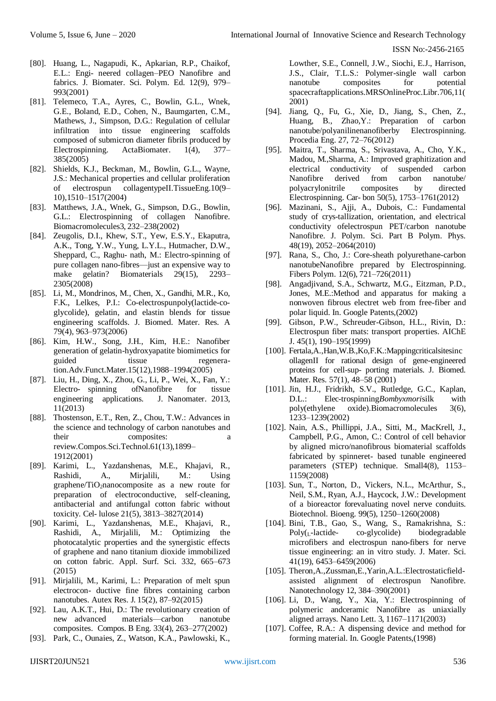- [80]. Huang, L., Nagapudi, K., Apkarian, R.P., Chaikof, E.L.: Engi- neered collagen–PEO Nanofibre and fabrics. J. Biomater. Sci. Polym. Ed. 12(9), 979– 993(2001)
- [81]. Telemeco, T.A., Ayres, C., Bowlin, G.L., Wnek, G.E., Boland, E.D., Cohen, N., Baumgarten, C.M., Mathews, J., Simpson, D.G.: Regulation of cellular infiltration into tissue engineering scaffolds composed of submicron diameter fibrils produced by Electrospinning. ActaBiomater. 1(4), 377– 385(2005)
- [82]. Shields, K.J., Beckman, M., Bowlin, G.L., Wayne, J.S.: Mechanical properties and cellular proliferation of electrospun collagentypeII.TissueEng.10(9– 10),1510–1517(2004)
- [83]. Matthews, J.A., Wnek, G., Simpson, D.G., Bowlin, G.L.: Electrospinning of collagen Nanofibre. Biomacromolecules3, 232–238(2002)
- [84]. Zeugolis, D.I., Khew, S.T., Yew, E.S.Y., Ekaputra, A.K., Tong, Y.W., Yung, L.Y.L., Hutmacher, D.W., Sheppard, C., Raghu- nath, M.: Electro-spinning of pure collagen nano-fibres—just an expensive way to make gelatin? Biomaterials 29(15), 2293– 2305(2008)
- [85]. Li, M., Mondrinos, M., Chen, X., Gandhi, M.R., Ko, F.K., Lelkes, P.I.: Co-electrospunpoly(lactide-coglycolide), gelatin, and elastin blends for tissue engineering scaffolds. J. Biomed. Mater. Res. A 79(4), 963–973(2006)
- [86]. Kim, H.W., Song, J.H., Kim, H.E.: Nanofiber generation of gelatin-hydroxyapatite biomimetics for tissue regeneration.Adv.Funct.Mater.15(12),1988–1994(2005)
- [87]. Liu, H., Ding, X., Zhou, G., Li, P., Wei, X., Fan, Y.: Electro- spinning ofNanofibre for tissue engineering applications. J. Nanomater. 2013, 11(2013)
- [88]. Thostenson, E.T., Ren, Z., Chou, T.W.: Advances in the science and technology of carbon nanotubes and their composites: a review.Compos.Sci.Technol.61(13),1899– 1912(2001)
- [89]. Karimi, L., Yazdanshenas, M.E., Khajavi, R., Rashidi, A., Mirjalili, M.: Using graphene/TiO2nanocomposite as a new route for preparation of electroconductive, self-cleaning, antibacterial and antifungal cotton fabric without toxicity. Cel- lulose 21(5), 3813–3827(2014)
- [90]. Karimi, L., Yazdanshenas, M.E., Khajavi, R., Rashidi, A., Mirjalili, M.: Optimizing the photocatalytic properties and the synergistic effects of graphene and nano titanium dioxide immobilized on cotton fabric. Appl. Surf. Sci. 332, 665–673 (2015)
- [91]. Mirjalili, M., Karimi, L.: Preparation of melt spun electrocon- ductive fine fibres containing carbon nanotubes. Autex Res. J. 15(2), 87–92(2015)
- [92]. Lau, A.K.T., Hui, D.: The revolutionary creation of new advanced materials—carbon nanotube composites. Compos. B Eng. 33(4), 263–277(2002)
- [93]. Park, C., Ounaies, Z., Watson, K.A., Pawlowski, K.,

Lowther, S.E., Connell, J.W., Siochi, E.J., Harrison, J.S., Clair, T.L.S.: Polymer-single wall carbon nanotube composites for potential spacecraftapplications.MRSOnlineProc.Libr.706,11( 2001)

- [94]. Jiang, Q., Fu, G., Xie, D., Jiang, S., Chen, Z., Huang, B., Zhao,Y.: Preparation of carbon nanotube/polyanilinenanofiberby Electrospinning. Procedia Eng. 27, 72–76(2012)
- [95]. Maitra, T., Sharma, S., Srivastava, A., Cho, Y.K., Madou, M.,Sharma, A.: Improved graphitization and electrical conductivity of suspended carbon Nanofibre derived from carbon nanotube/ polyacrylonitrile composites by directed Electrospinning. Car- bon 50(5), 1753–1761(2012)
- [96]. Mazinani, S., Ajji, A., Dubois, C.: Fundamental study of crys-tallization, orientation, and electrical conductivity ofelectrospun PET/carbon nanotube Nanofibre. J. Polym. Sci. Part B Polym. Phys. 48(19), 2052–2064(2010)
- [97]. Rana, S., Cho, J.: Core-sheath polyurethane-carbon nanotubeNanofibre prepared by Electrospinning. Fibers Polym. 12(6), 721–726(2011)
- [98]. Angadjivand, S.A., Schwartz, M.G., Eitzman, P.D., Jones, M.E.:Method and apparatus for making a nonwoven fibrous electret web from free-fiber and polar liquid. In. Google Patents,(2002)
- [99]. Gibson, P.W., Schreuder-Gibson, H.L., Rivin, D.: Electrospun fiber mats: transport properties. AIChE J. 45(1), 190–195(1999)
- [100]. Fertala,A.,Han,W.B.,Ko,F.K.:Mappingcriticalsitesinc ollagenII for rational design of gene-engineered proteins for cell-sup- porting materials. J. Biomed. Mater. Res. 57(1), 48–58 (2001)
- [101]. Jin, H.J., Fridrikh, S.V., Rutledge, G.C., Kaplan, D.L.: Elec-trospinning*Bombyxmori*silk with poly(ethylene oxide).Biomacromolecules 3(6), 1233–1239(2002)
- [102]. Nain, A.S., Phillippi, J.A., Sitti, M., MacKrell, J., Campbell, P.G., Amon, C.: Control of cell behavior by aligned micro/nanofibrous biomaterial scaffolds fabricated by spinneret- based tunable engineered parameters (STEP) technique. Small4(8), 1153– 1159(2008)
- [103]. Sun, T., Norton, D., Vickers, N.L., McArthur, S., Neil, S.M., Ryan, A.J., Haycock, J.W.: Development of a bioreactor forevaluating novel nerve conduits. Biotechnol. Bioeng. 99(5), 1250–1260(2008)
- [104]. Bini, T.B., Gao, S., Wang, S., Ramakrishna, S.: Poly(L-lactide- co-glycolide) biodegradable microfibers and electrospun nano-fibers for nerve tissue engineering: an in vitro study. J. Mater. Sci. 41(19), 6453–6459(2006)
- [105]. Theron,A.,Zussman,E.,Yarin,A.L.:Electrostaticfieldassisted alignment of electrospun Nanofibre. Nanotechnology 12, 384–390(2001)
- [106]. Li, D., Wang, Y., Xia, Y.: Electrospinning of polymeric andceramic Nanofibre as uniaxially aligned arrays. Nano Lett. 3, 1167–1171(2003)
- [107]. Coffee, R.A.: A dispensing device and method for forming material. In. Google Patents,(1998)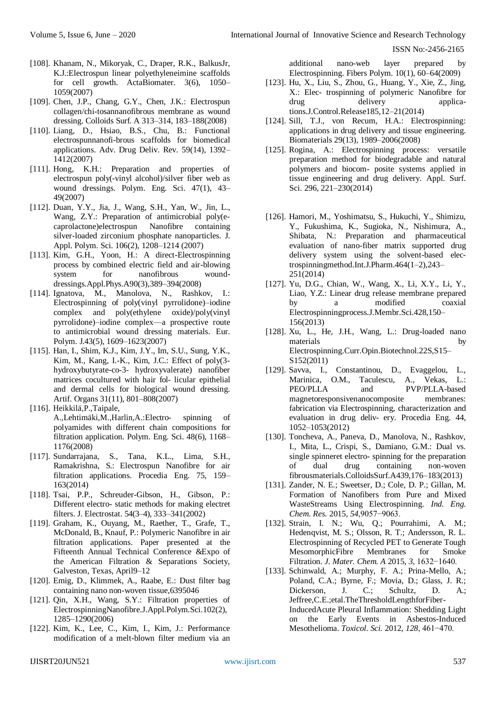- [108]. Khanam, N., Mikoryak, C., Draper, R.K., BalkusJr, K.J.:Electrospun linear polyethyleneimine scaffolds for cell growth. ActaBiomater. 3(6), 1050– 1059(2007)
- [109]. Chen, J.P., Chang, G.Y., Chen, J.K.: Electrospun collagen/chi-tosannanofibrous membrane as wound dressing. Colloids Surf. A 313–314, 183–188(2008)
- [110]. Liang, D., Hsiao, B.S., Chu, B.: Functional electrospunnanofi-brous scaffolds for biomedical applications. Adv. Drug Deliv. Rev. 59(14), 1392– 1412(2007)
- [111]. Hong, K.H.: Preparation and properties of electrospun poly(-vinyl alcohol)/silver fiber web as wound dressings. Polym. Eng. Sci. 47(1), 43– 49(2007)
- [112]. Duan, Y.Y., Jia, J., Wang, S.H., Yan, W., Jin, L., Wang, Z.Y.: Preparation of antimicrobial poly(ecaprolactone)electrospun Nanofibre containing silver-loaded zirconium phosphate nanoparticles. J. Appl. Polym. Sci. 106(2), 1208–1214 (2007)
- [113]. Kim, G.H., Yoon, H.: A direct-Electrospinning process by combined electric field and air-blowing system for nanofibrous wounddressings.Appl.Phys.A90(3),389–394(2008)
- [114]. Ignatova, M., Manolova, N., Rashkov, I.: Electrospinning of poly(vinyl pyrrolidone)–iodine complex and poly(ethylene oxide)/poly(vinyl pyrrolidone)–iodine complex—a prospective route to antimicrobial wound dressing materials. Eur. Polym. J.43(5), 1609–1623(2007)
- [115]. Han, I., Shim, K.J., Kim, J.Y., Im, S.U., Sung, Y.K., Kim, M., Kang, I.-K., Kim, J.C.: Effect of poly(3 hydroxybutyrate-co-3- hydroxyvalerate) nanofiber matrices cocultured with hair fol- licular epithelial and dermal cells for biological wound dressing. Artif. Organs 31(11), 801–808(2007)
- [116]. Heikkilä, P., Taipale, A.,Lehtimäki,M.,Harlin,A.:Electro- spinning of polyamides with different chain compositions for filtration application. Polym. Eng. Sci. 48(6), 1168– 1176(2008)
- [117]. Sundarrajana, S., Tana, K.L., Lima, S.H., Ramakrishna, S.: Electrospun Nanofibre for air filtration applications. Procedia Eng. 75, 159– 163(2014)
- [118]. Tsai, P.P., Schreuder-Gibson, H., Gibson, P.: Different electro- static methods for making electret filters. J. Electrostat. 54(3–4), 333–341(2002)
- [119]. Graham, K., Ouyang, M., Raether, T., Grafe, T., McDonald, B., Knauf, P.: Polymeric Nanofibre in air filtration applications. Paper presented at the Fifteenth Annual Technical Conference &Expo of the American Filtration & Separations Society, Galveston, Texas, April9–12
- [120]. Emig, D., Klimmek, A., Raabe, E.: Dust filter bag containing nano non-woven tissue,6395046
- [121]. Qin, X.H., Wang, S.Y.: Filtration properties of ElectrospinningNanofibre.J.Appl.Polym.Sci.102(2), 1285–1290(2006)
- [122]. Kim, K., Lee, C., Kim, I., Kim, J.: Performance modification of a melt-blown filter medium via an

additional nano-web layer prepared by Electrospinning. Fibers Polym. 10(1), 60–64(2009)

- [123]. Hu, X., Liu, S., Zhou, G., Huang, Y., Xie, Z., Jing, X.: Elec- trospinning of polymeric Nanofibre for drug delivery applications.J.Control.Release185,12–21(2014)
- [124]. Sill, T.J., von Recum, H.A.: Electrospinning: applications in drug delivery and tissue engineering. Biomaterials 29(13), 1989–2006(2008)
- [125]. Rogina, A.: Electrospinning process: versatile preparation method for biodegradable and natural polymers and biocom- posite systems applied in tissue engineering and drug delivery. Appl. Surf. Sci. 296, 221–230(2014)
- [126]. Hamori, M., Yoshimatsu, S., Hukuchi, Y., Shimizu, Y., Fukushima, K., Sugioka, N., Nishimura, A., Shibata, N.: Preparation and pharmaceutical evaluation of nano-fiber matrix supported drug delivery system using the solvent-based electrospinningmethod.Int.J.Pharm.464(1–2),243– 251(2014)
- [127]. Yu, D.G., Chian, W., Wang, X., Li, X.Y., Li, Y., Liao, Y.Z.: Linear drug release membrane prepared by a modified coaxial Electrospinningprocess.J.Membr.Sci.428,150– 156(2013)
- [128]. Xu, L., He, J.H., Wang, L.: Drug-loaded nano materials by Electrospinning.Curr.Opin.Biotechnol.22S,S15– S152(2011)
- [129]. Savva, I., Constantinou, D., Evaggelou, L., Marinica, O.M., Taculescu, A., Vekas, L.: PEO/PLLA and PVP/PLLA-based magnetoresponsivenanocomposite membranes: fabrication via Electrospinning, characterization and evaluation in drug deliv- ery. Procedia Eng. 44, 1052–1053(2012)
- [130]. Toncheva, A., Paneva, D., Manolova, N., Rashkov, I., Mita, L., Crispi, S., Damiano, G.M.: Dual vs. single spinneret electro- spinning for the preparation of dual drug containing non-woven fibrousmaterials.ColloidsSurf.A439,176–183(2013)
- [131]. Zander, N. E.; Sweetser, D.; Cole, D. P.; Gillan, M. Formation of Nanofibers from Pure and Mixed WasteStreams Using Electrospinning. *Ind. Eng. Chem. Res.* 2015, *54*,9057−9063.
- [132]. Strain, I. N.; Wu, Q.; Pourrahimi, A. M.; Hedenqvist, M. S.; Olsson, R. T.; Andersson, R. L. Electrospinning of Recycled PET to Generate Tough MesomorphicFibre Membranes for Smoke Filtration. *J. Mater. Chem. A* 2015, *3*, 1632−1640.
- [133]. Schinwald, A.; Murphy, F. A.; Prina-Mello, A.; Poland, C.A.; Byrne, F.; Movia, D.; Glass, J. R.; Dickerson, J. C.; Schultz, D. A.; Jeffree,C.E.;etal.TheThresholdLengthforFiber-InducedAcute Pleural Inflammation: Shedding Light on the Early Events in Asbestos-Induced Mesothelioma. *Toxicol. Sci.* 2012, *128*, 461−470.